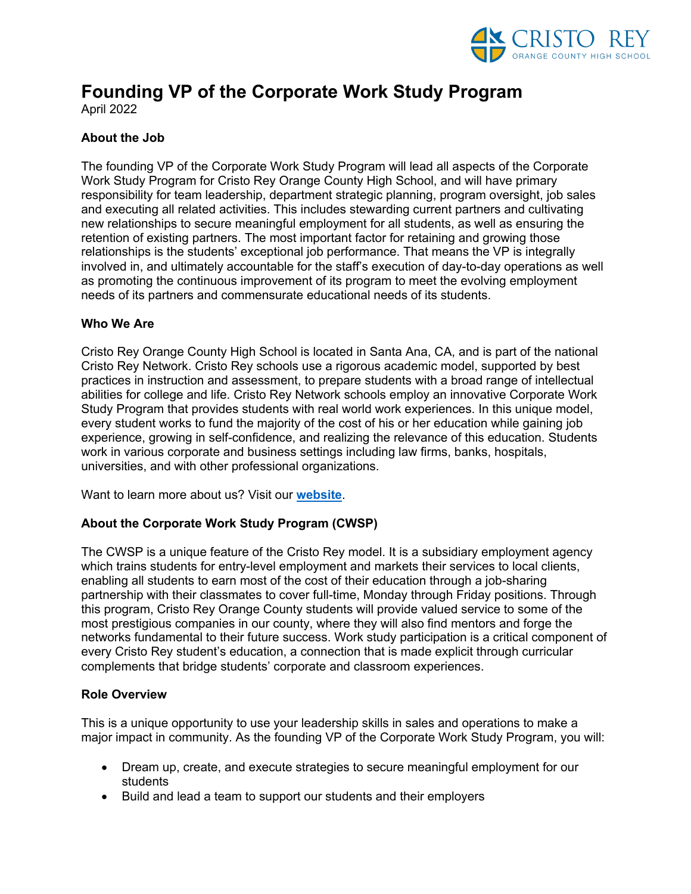

# **Founding VP of the Corporate Work Study Program**

April 2022

# **About the Job**

The founding VP of the Corporate Work Study Program will lead all aspects of the Corporate Work Study Program for Cristo Rey Orange County High School, and will have primary responsibility for team leadership, department strategic planning, program oversight, job sales and executing all related activities. This includes stewarding current partners and cultivating new relationships to secure meaningful employment for all students, as well as ensuring the retention of existing partners. The most important factor for retaining and growing those relationships is the students' exceptional job performance. That means the VP is integrally involved in, and ultimately accountable for the staff's execution of day-to-day operations as well as promoting the continuous improvement of its program to meet the evolving employment needs of its partners and commensurate educational needs of its students.

## **Who We Are**

Cristo Rey Orange County High School is located in Santa Ana, CA, and is part of the national Cristo Rey Network. Cristo Rey schools use a rigorous academic model, supported by best practices in instruction and assessment, to prepare students with a broad range of intellectual abilities for college and life. Cristo Rey Network schools employ an innovative Corporate Work Study Program that provides students with real world work experiences. In this unique model, every student works to fund the majority of the cost of his or her education while gaining job experience, growing in self-confidence, and realizing the relevance of this education. Students work in various corporate and business settings including law firms, banks, hospitals, universities, and with other professional organizations.

Want to learn more about us? Visit our **website**.

# **About the Corporate Work Study Program (CWSP)**

The CWSP is a unique feature of the Cristo Rey model. It is a subsidiary employment agency which trains students for entry-level employment and markets their services to local clients, enabling all students to earn most of the cost of their education through a job-sharing partnership with their classmates to cover full-time, Monday through Friday positions. Through this program, Cristo Rey Orange County students will provide valued service to some of the most prestigious companies in our county, where they will also find mentors and forge the networks fundamental to their future success. Work study participation is a critical component of every Cristo Rey student's education, a connection that is made explicit through curricular complements that bridge students' corporate and classroom experiences.

#### **Role Overview**

This is a unique opportunity to use your leadership skills in sales and operations to make a major impact in community. As the founding VP of the Corporate Work Study Program, you will:

- Dream up, create, and execute strategies to secure meaningful employment for our students
- Build and lead a team to support our students and their employers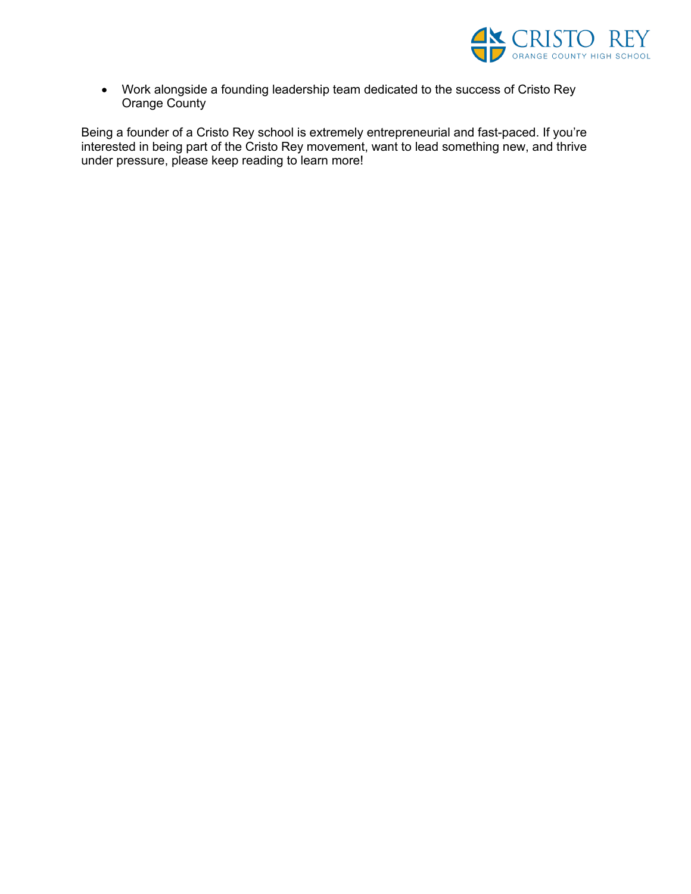

• Work alongside a founding leadership team dedicated to the success of Cristo Rey Orange County

Being a founder of a Cristo Rey school is extremely entrepreneurial and fast-paced. If you're interested in being part of the Cristo Rey movement, want to lead something new, and thrive under pressure, please keep reading to learn more!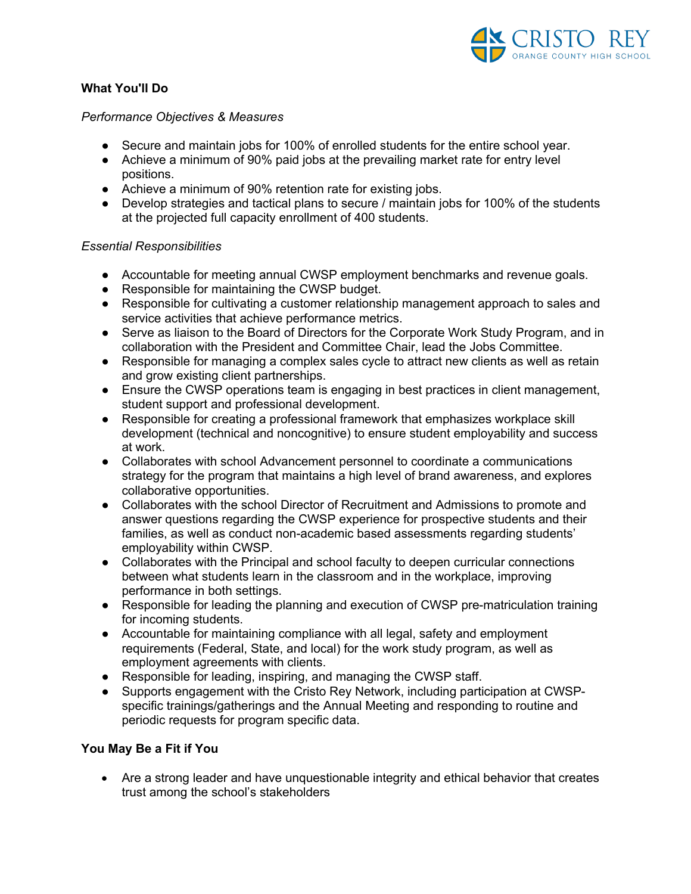

# **What You'll Do**

#### *Performance Objectives & Measures*

- Secure and maintain jobs for 100% of enrolled students for the entire school year.
- Achieve a minimum of 90% paid jobs at the prevailing market rate for entry level positions.
- Achieve a minimum of 90% retention rate for existing jobs.
- Develop strategies and tactical plans to secure / maintain jobs for 100% of the students at the projected full capacity enrollment of 400 students.

#### *Essential Responsibilities*

- Accountable for meeting annual CWSP employment benchmarks and revenue goals.
- Responsible for maintaining the CWSP budget.
- Responsible for cultivating a customer relationship management approach to sales and service activities that achieve performance metrics.
- Serve as liaison to the Board of Directors for the Corporate Work Study Program, and in collaboration with the President and Committee Chair, lead the Jobs Committee.
- Responsible for managing a complex sales cycle to attract new clients as well as retain and grow existing client partnerships.
- Ensure the CWSP operations team is engaging in best practices in client management, student support and professional development.
- Responsible for creating a professional framework that emphasizes workplace skill development (technical and noncognitive) to ensure student employability and success at work.
- Collaborates with school Advancement personnel to coordinate a communications strategy for the program that maintains a high level of brand awareness, and explores collaborative opportunities.
- Collaborates with the school Director of Recruitment and Admissions to promote and answer questions regarding the CWSP experience for prospective students and their families, as well as conduct non-academic based assessments regarding students' employability within CWSP.
- Collaborates with the Principal and school faculty to deepen curricular connections between what students learn in the classroom and in the workplace, improving performance in both settings.
- Responsible for leading the planning and execution of CWSP pre-matriculation training for incoming students.
- Accountable for maintaining compliance with all legal, safety and employment requirements (Federal, State, and local) for the work study program, as well as employment agreements with clients.
- Responsible for leading, inspiring, and managing the CWSP staff.
- Supports engagement with the Cristo Rey Network, including participation at CWSPspecific trainings/gatherings and the Annual Meeting and responding to routine and periodic requests for program specific data.

#### **You May Be a Fit if You**

• Are a strong leader and have unquestionable integrity and ethical behavior that creates trust among the school's stakeholders